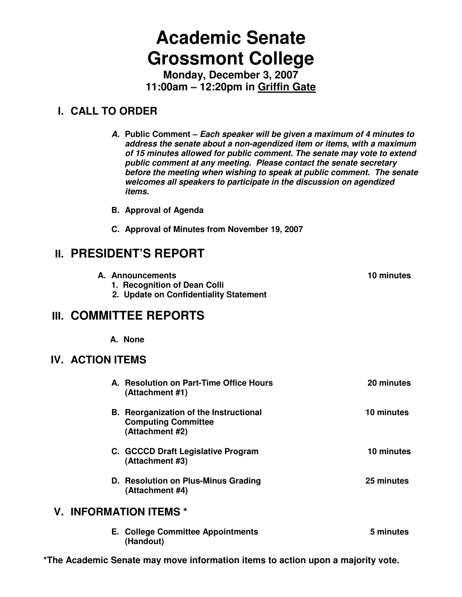# **Academic Senate Grossmont College**

**Monday, December 3, 2007 11:00am – 12:20pm in Griffin Gate**

# **I. CALL TO ORDER**

**A. Public Comment – Each speaker will be given a maximum of 4 minutes to address the senate about a non-agendized item or items, with a maximum of 15 minutes allowed for public comment. The senate may vote to extend public comment at any meeting. Please contact the senate secretary before the meeting when wishing to speak at public comment. The senate welcomes all speakers to participate in the discussion on agendized items.** 

- **B. Approval of Agenda**
- **C. Approval of Minutes from November 19, 2007**

# **II. PRESIDENT'S REPORT**

| A. Announcements                       | 10 minutes |
|----------------------------------------|------------|
| 1. Recognition of Dean Colli           |            |
| 2. Update on Confidentiality Statement |            |

# **III. COMMITTEE REPORTS**

**A. None** 

# **IV. ACTION ITEMS**

| A. Resolution on Part-Time Office Hours<br>(Attachment #1)                                     | 20 minutes |
|------------------------------------------------------------------------------------------------|------------|
| <b>B.</b> Reorganization of the Instructional<br><b>Computing Committee</b><br>(Attachment #2) | 10 minutes |
| C. GCCCD Draft Legislative Program<br>(Attachment #3)                                          | 10 minutes |
| D. Resolution on Plus-Minus Grading<br>(Attachment #4)                                         | 25 minutes |
| <b>V. INFORMATION ITEMS *</b>                                                                  |            |
| <b>E. College Committee Appointments</b><br>(Handout)                                          | 5 minutes  |

**\*The Academic Senate may move information items to action upon a majority vote.**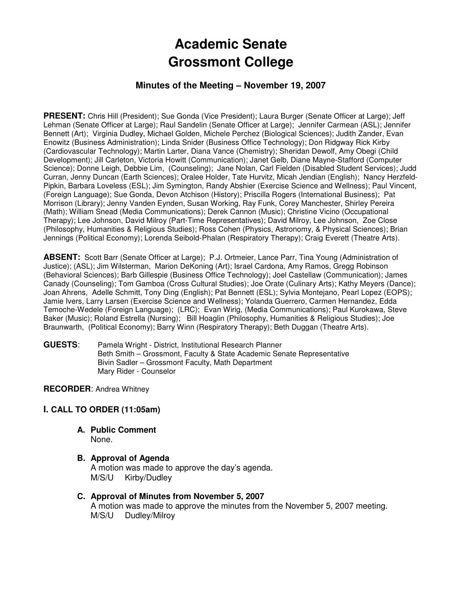# **Academic Senate Grossmont College**

# **Minutes of the Meeting – November 19, 2007**

PRESENT: Chris Hill (President); Sue Gonda (Vice President); Laura Burger (Senate Officer at Large); Jeff Lehman (Senate Officer at Large); Raul Sandelin (Senate Officer at Large); Jennifer Carmean (ASL); Jennifer Bennett (Art); Virginia Dudley, Michael Golden, Michele Perchez (Biological Sciences); Judith Zander, Evan Enowitz (Business Administration); Linda Snider (Business Office Technology); Don Ridgway Rick Kirby (Cardiovascular Technology); Martin Larter, Diana Vance (Chemistry); Sheridan Dewolf, Amy Obegi (Child Development); Jill Carleton, Victoria Howitt (Communication); Janet Gelb, Diane Mayne-Stafford (Computer Science); Donne Leigh, Debbie Lim, (Counseling); Jane Nolan, Carl Fielden (Disabled Student Services); Judd Curran, Jenny Duncan (Earth Sciences); Oralee Holder, Tate Hurvitz, Micah Jendian (English); Nancy Herzfeld-Pipkin, Barbara Loveless (ESL); Jim Symington, Randy Abshier (Exercise Science and Wellness); Paul Vincent, (Foreign Language); Sue Gonda, Devon Atchison (History); Priscilla Rogers (International Business); Pat Morrison (Library); Jenny Vanden Eynden, Susan Working, Ray Funk, Corey Manchester, Shirley Pereira (Math); William Snead (Media Communications); Derek Cannon (Music); Christine Vicino (Occupational Therapy); Lee Johnson, David Milroy (Part-Time Representatives); David Milroy, Lee Johnson, Zoe Close (Philosophy, Humanities & Religious Studies); Ross Cohen (Physics, Astronomy, & Physical Sciences); Brian Jennings (Political Economy); Lorenda Seibold-Phalan (Respiratory Therapy); Craig Everett (Theatre Arts).

**ABSENT:** Scott Barr (Senate Officer at Large); P.J. Ortmeier, Lance Parr, Tina Young (Administration of Justice); (ASL); Jim Wilsterman, Marion DeKoning (Art); Israel Cardona, Amy Ramos, Gregg Robinson (Behavioral Sciences); Barb Gillespie (Business Office Technology); Joel Castellaw (Communication); James Canady (Counseling); Tom Gamboa (Cross Cultural Studies); Joe Orate (Culinary Arts); Kathy Meyers (Dance); Joan Ahrens, Adelle Schmitt, Tony Ding (English); Pat Bennett (ESL); Sylvia Montejano, Pearl Lopez (EOPS); Jamie Ivers, Larry Larsen (Exercise Science and Wellness); Yolanda Guerrero, Carmen Hernandez, Edda Temoche-Wedele (Foreign Language); (LRC); Evan Wirig, (Media Communications); Paul Kurokawa, Steve Baker (Music); Roland Estrella (Nursing); Bill Hoaglin (Philosophy, Humanities & Religious Studies); Joe Braunwarth, (Political Economy); Barry Winn (Respiratory Therapy); Beth Duggan (Theatre Arts).

**GUESTS**: Pamela Wright - District, Institutional Research Planner Beth Smith – Grossmont, Faculty & State Academic Senate Representative Bivin Sadler – Grossmont Faculty, Math Department Mary Rider - Counselor

### **RECORDER**: Andrea Whitney

# **I. CALL TO ORDER (11:05am)**

**A. Public Comment** 

None.

- **B. Approval of Agenda**  A motion was made to approve the day's agenda. M/S/U Kirby/Dudley
- **C. Approval of Minutes from November 5, 2007**  A motion was made to approve the minutes from the November 5, 2007 meeting. M/S/U Dudley/Milroy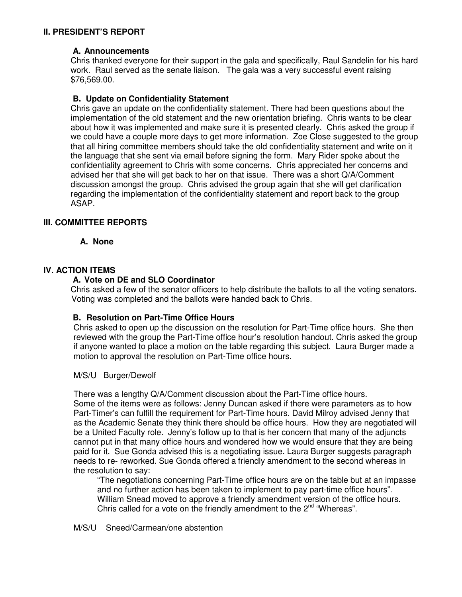# **II. PRESIDENT'S REPORT**

### **A. Announcements**

Chris thanked everyone for their support in the gala and specifically, Raul Sandelin for his hard work. Raul served as the senate liaison. The gala was a very successful event raising \$76,569.00.

### **B. Update on Confidentiality Statement**

Chris gave an update on the confidentiality statement. There had been questions about the implementation of the old statement and the new orientation briefing. Chris wants to be clear about how it was implemented and make sure it is presented clearly. Chris asked the group if we could have a couple more days to get more information. Zoe Close suggested to the group that all hiring committee members should take the old confidentiality statement and write on it the language that she sent via email before signing the form. Mary Rider spoke about the confidentiality agreement to Chris with some concerns. Chris appreciated her concerns and advised her that she will get back to her on that issue. There was a short Q/A/Comment discussion amongst the group. Chris advised the group again that she will get clarification regarding the implementation of the confidentiality statement and report back to the group ASAP.

# **III. COMMITTEE REPORTS**

 **A. None** 

### **IV. ACTION ITEMS**

### **A. Vote on DE and SLO Coordinator**

Chris asked a few of the senator officers to help distribute the ballots to all the voting senators. Voting was completed and the ballots were handed back to Chris.

#### **B. Resolution on Part-Time Office Hours**

Chris asked to open up the discussion on the resolution for Part-Time office hours. She then reviewed with the group the Part-Time office hour's resolution handout. Chris asked the group if anyone wanted to place a motion on the table regarding this subject. Laura Burger made a motion to approval the resolution on Part-Time office hours.

M/S/U Burger/Dewolf

There was a lengthy Q/A/Comment discussion about the Part-Time office hours. Some of the items were as follows: Jenny Duncan asked if there were parameters as to how Part-Timer's can fulfill the requirement for Part-Time hours. David Milroy advised Jenny that as the Academic Senate they think there should be office hours. How they are negotiated will be a United Faculty role. Jenny's follow up to that is her concern that many of the adjuncts cannot put in that many office hours and wondered how we would ensure that they are being paid for it. Sue Gonda advised this is a negotiating issue. Laura Burger suggests paragraph needs to re- reworked. Sue Gonda offered a friendly amendment to the second whereas in the resolution to say:

"The negotiations concerning Part-Time office hours are on the table but at an impasse and no further action has been taken to implement to pay part-time office hours". William Snead moved to approve a friendly amendment version of the office hours. Chris called for a vote on the friendly amendment to the  $2^{nd}$  "Whereas".

M/S/U Sneed/Carmean/one abstention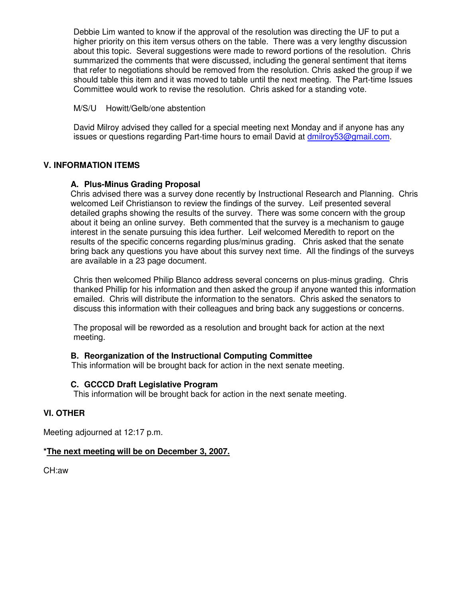Debbie Lim wanted to know if the approval of the resolution was directing the UF to put a higher priority on this item versus others on the table. There was a very lengthy discussion about this topic. Several suggestions were made to reword portions of the resolution. Chris summarized the comments that were discussed, including the general sentiment that items that refer to negotiations should be removed from the resolution. Chris asked the group if we should table this item and it was moved to table until the next meeting. The Part-time Issues Committee would work to revise the resolution. Chris asked for a standing vote.

M/S/U Howitt/Gelb/one abstention

David Milroy advised they called for a special meeting next Monday and if anyone has any issues or questions regarding Part-time hours to email David at dmilroy53@gmail.com.

# **V. INFORMATION ITEMS**

# **A. Plus-Minus Grading Proposal**

Chris advised there was a survey done recently by Instructional Research and Planning. Chris welcomed Leif Christianson to review the findings of the survey. Leif presented several detailed graphs showing the results of the survey. There was some concern with the group about it being an online survey. Beth commented that the survey is a mechanism to gauge interest in the senate pursuing this idea further. Leif welcomed Meredith to report on the results of the specific concerns regarding plus/minus grading. Chris asked that the senate bring back any questions you have about this survey next time. All the findings of the surveys are available in a 23 page document.

Chris then welcomed Philip Blanco address several concerns on plus-minus grading. Chris thanked Phillip for his information and then asked the group if anyone wanted this information emailed. Chris will distribute the information to the senators. Chris asked the senators to discuss this information with their colleagues and bring back any suggestions or concerns.

The proposal will be reworded as a resolution and brought back for action at the next meeting.

# **B. Reorganization of the Instructional Computing Committee**

This information will be brought back for action in the next senate meeting.

# **C. GCCCD Draft Legislative Program**

This information will be brought back for action in the next senate meeting.

# **VI. OTHER**

Meeting adjourned at 12:17 p.m.

# **\*The next meeting will be on December 3, 2007.**

CH:aw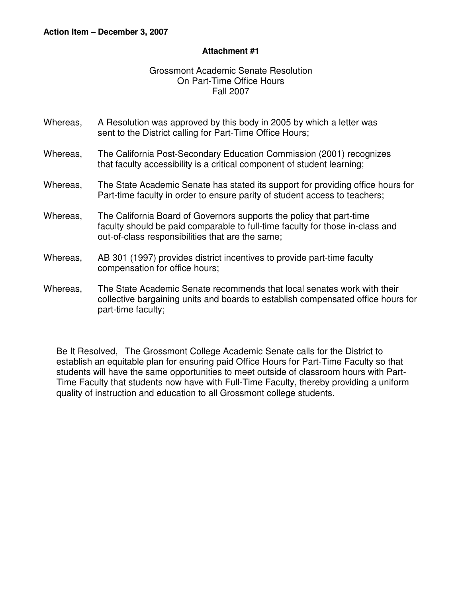# **Attachment #1**

# Grossmont Academic Senate Resolution On Part-Time Office Hours Fall 2007

- Whereas, A Resolution was approved by this body in 2005 by which a letter was sent to the District calling for Part-Time Office Hours;
- Whereas, The California Post-Secondary Education Commission (2001) recognizes that faculty accessibility is a critical component of student learning;
- Whereas, The State Academic Senate has stated its support for providing office hours for Part-time faculty in order to ensure parity of student access to teachers;
- Whereas, The California Board of Governors supports the policy that part-time faculty should be paid comparable to full-time faculty for those in-class and out-of-class responsibilities that are the same;
- Whereas, AB 301 (1997) provides district incentives to provide part-time faculty compensation for office hours;
- Whereas, The State Academic Senate recommends that local senates work with their collective bargaining units and boards to establish compensated office hours for part-time faculty;

Be It Resolved, The Grossmont College Academic Senate calls for the District to establish an equitable plan for ensuring paid Office Hours for Part-Time Faculty so that students will have the same opportunities to meet outside of classroom hours with Part-Time Faculty that students now have with Full-Time Faculty, thereby providing a uniform quality of instruction and education to all Grossmont college students.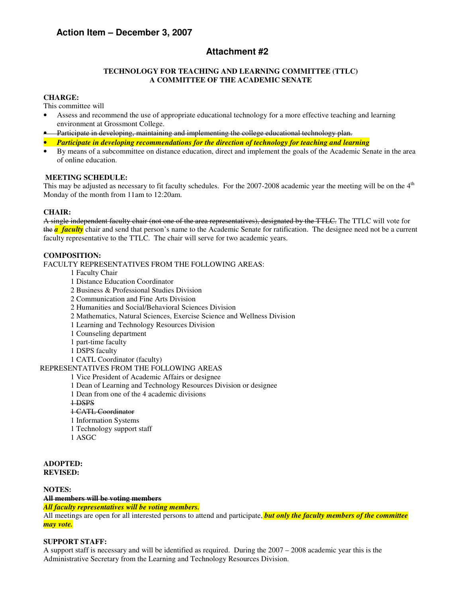# **Action Item – December 3, 2007**

# **Attachment #2**

#### **TECHNOLOGY FOR TEACHING AND LEARNING COMMITTEE (TTLC) A COMMITTEE OF THE ACADEMIC SENATE**

#### **CHARGE:**

This committee will

- Assess and recommend the use of appropriate educational technology for a more effective teaching and learning environment at Grossmont College.
- Participate in developing, maintaining and implementing the college educational technology plan.
- *Participate in developing recommendations for the direction of technology for teaching and learning*
- By means of a subcommittee on distance education, direct and implement the goals of the Academic Senate in the area of online education.

#### **MEETING SCHEDULE:**

This may be adjusted as necessary to fit faculty schedules. For the 2007-2008 academic year the meeting will be on the 4<sup>th</sup> Monday of the month from 11am to 12:20am.

#### **CHAIR:**

A single independent faculty chair (not one of the area representatives), designated by the TTLC. The TTLC will vote for the **a faculty** chair and send that person's name to the Academic Senate for ratification. The designee need not be a current faculty representative to the TTLC. The chair will serve for two academic years.

#### **COMPOSITION:**

FACULTY REPRESENTATIVES FROM THE FOLLOWING AREAS:

- 1 Faculty Chair
- 1 Distance Education Coordinator
- 2 Business & Professional Studies Division
- 2 Communication and Fine Arts Division
- 2 Humanities and Social/Behavioral Sciences Division
- 2 Mathematics, Natural Sciences, Exercise Science and Wellness Division
- 1 Learning and Technology Resources Division
- 1 Counseling department
- 1 part-time faculty
- 1 DSPS faculty
- 1 CATL Coordinator (faculty)

REPRESENTATIVES FROM THE FOLLOWING AREAS

1 Vice President of Academic Affairs or designee

- 1 Dean of Learning and Technology Resources Division or designee
- 1 Dean from one of the 4 academic divisions
- 1 DSPS

# 1 CATL Coordinator

- 1 Information Systems
- 1 Technology support staff
- 1 ASGC

#### **ADOPTED: REVISED:**

**NOTES: All members will be voting members**

*All faculty representatives will be voting members.*

All meetings are open for all interested persons to attend and participate, *but only the faculty members of the committee may vote.* 

#### **SUPPORT STAFF:**

A support staff is necessary and will be identified as required. During the 2007 – 2008 academic year this is the Administrative Secretary from the Learning and Technology Resources Division.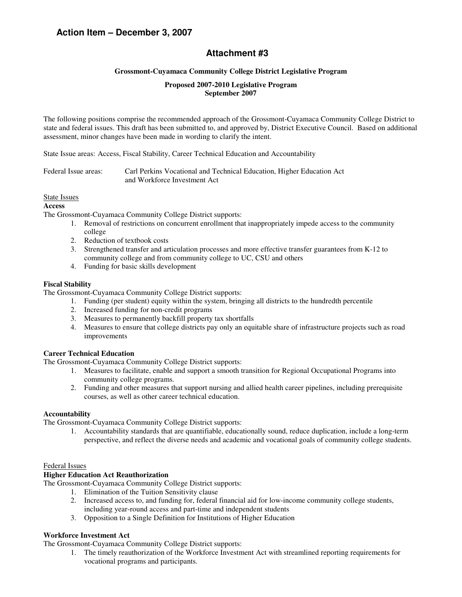# **Action Item – December 3, 2007**

# **Attachment #3**

#### **Grossmont-Cuyamaca Community College District Legislative Program**

#### **Proposed 2007-2010 Legislative Program September 2007**

The following positions comprise the recommended approach of the Grossmont-Cuyamaca Community College District to state and federal issues. This draft has been submitted to, and approved by, District Executive Council. Based on additional assessment, minor changes have been made in wording to clarify the intent.

State Issue areas: Access, Fiscal Stability, Career Technical Education and Accountability

Federal Issue areas: Carl Perkins Vocational and Technical Education, Higher Education Act and Workforce Investment Act

#### State Issues

#### **Access**

The Grossmont-Cuyamaca Community College District supports:

- 1. Removal of restrictions on concurrent enrollment that inappropriately impede access to the community college
- 2. Reduction of textbook costs
- 3. Strengthened transfer and articulation processes and more effective transfer guarantees from K-12 to community college and from community college to UC, CSU and others
- 4. Funding for basic skills development

#### **Fiscal Stability**

The Grossmont-Cuyamaca Community College District supports:

- 1. Funding (per student) equity within the system, bringing all districts to the hundredth percentile
- 2. Increased funding for non-credit programs
- 3. Measures to permanently backfill property tax shortfalls
- 4. Measures to ensure that college districts pay only an equitable share of infrastructure projects such as road improvements

#### **Career Technical Education**

The Grossmont-Cuyamaca Community College District supports:

- 1. Measures to facilitate, enable and support a smooth transition for Regional Occupational Programs into community college programs.
- 2. Funding and other measures that support nursing and allied health career pipelines, including prerequisite courses, as well as other career technical education.

#### **Accountability**

The Grossmont-Cuyamaca Community College District supports:

1. Accountability standards that are quantifiable, educationally sound, reduce duplication, include a long-term perspective, and reflect the diverse needs and academic and vocational goals of community college students.

#### Federal Issues

#### **Higher Education Act Reauthorization**

The Grossmont-Cuyamaca Community College District supports:

- 1. Elimination of the Tuition Sensitivity clause
	- 2. Increased access to, and funding for, federal financial aid for low-income community college students, including year-round access and part-time and independent students
	- 3. Opposition to a Single Definition for Institutions of Higher Education

#### **Workforce Investment Act**

The Grossmont-Cuyamaca Community College District supports:

1. The timely reauthorization of the Workforce Investment Act with streamlined reporting requirements for vocational programs and participants.